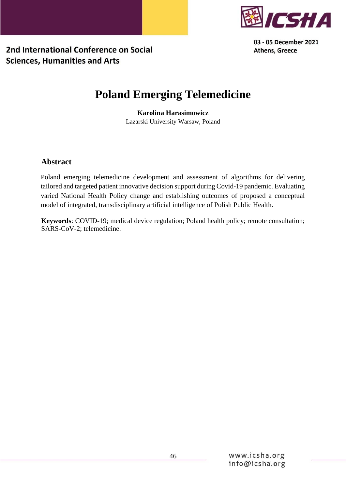

2nd International Conference on Social **Sciences, Humanities and Arts** 

# **Poland Emerging Telemedicine**

**Karolina Harasimowicz** Lazarski University Warsaw, Poland

### **Abstract**

Poland emerging telemedicine development and assessment of algorithms for delivering tailored and targeted patient innovative decision support during Covid-19 pandemic. Evaluating varied National Health Policy change and establishing outcomes of proposed a conceptual model of integrated, transdisciplinary artificial intelligence of Polish Public Health.

**Keywords**: COVID-19; medical device regulation; Poland health policy; remote consultation; SARS-CoV-2; telemedicine.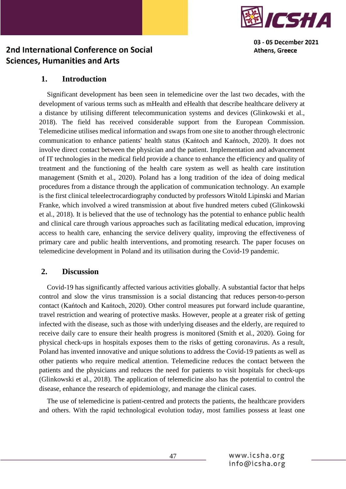

### 2nd International Conference on Social **Sciences. Humanities and Arts**

#### **1. Introduction**

Significant development has been seen in telemedicine over the last two decades, with the development of various terms such as mHealth and eHealth that describe healthcare delivery at a distance by utilising different telecommunication systems and devices (Glinkowski et al., 2018). The field has received considerable support from the European Commission. Telemedicine utilises medical information and swaps from one site to another through electronic communication to enhance patients' health status (Kańtoch and Kańtoch, 2020). It does not involve direct contact between the physician and the patient. Implementation and advancement of IT technologies in the medical field provide a chance to enhance the efficiency and quality of treatment and the functioning of the health care system as well as health care institution management (Smith et al., 2020). Poland has a long tradition of the idea of doing medical procedures from a distance through the application of communication technology. An example is the first clinical teleelectrocardiography conducted by professors Witold Lipinski and Marian Franke, which involved a wired transmission at about five hundred meters cubed (Glinkowski et al., 2018). It is believed that the use of technology has the potential to enhance public health and clinical care through various approaches such as facilitating medical education, improving access to health care, enhancing the service delivery quality, improving the effectiveness of primary care and public health interventions, and promoting research. The paper focuses on telemedicine development in Poland and its utilisation during the Covid-19 pandemic.

#### **2. Discussion**

Covid-19 has significantly affected various activities globally. A substantial factor that helps control and slow the virus transmission is a social distancing that reduces person-to-person contact (Kańtoch and Kańtoch, 2020). Other control measures put forward include quarantine, travel restriction and wearing of protective masks. However, people at a greater risk of getting infected with the disease, such as those with underlying diseases and the elderly, are required to receive daily care to ensure their health progress is monitored (Smith et al., 2020). Going for physical check-ups in hospitals exposes them to the risks of getting coronavirus. As a result, Poland has invented innovative and unique solutions to address the Covid-19 patients as well as other patients who require medical attention. Telemedicine reduces the contact between the patients and the physicians and reduces the need for patients to visit hospitals for check-ups (Glinkowski et al., 2018). The application of telemedicine also has the potential to control the disease, enhance the research of epidemiology, and manage the clinical cases.

The use of telemedicine is patient-centred and protects the patients, the healthcare providers and others. With the rapid technological evolution today, most families possess at least one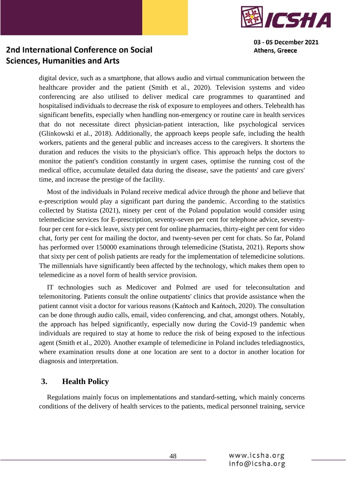

# 2nd International Conference on Social **Sciences. Humanities and Arts**

digital device, such as a smartphone, that allows audio and virtual communication between the healthcare provider and the patient (Smith et al., 2020). Television systems and video conferencing are also utilised to deliver medical care programmes to quarantined and hospitalised individuals to decrease the risk of exposure to employees and others. Telehealth has significant benefits, especially when handling non-emergency or routine care in health services that do not necessitate direct physician-patient interaction, like psychological services (Glinkowski et al., 2018). Additionally, the approach keeps people safe, including the health workers, patients and the general public and increases access to the caregivers. It shortens the duration and reduces the visits to the physician's office. This approach helps the doctors to monitor the patient's condition constantly in urgent cases, optimise the running cost of the medical office, accumulate detailed data during the disease, save the patients' and care givers' time, and increase the prestige of the facility.

Most of the individuals in Poland receive medical advice through the phone and believe that e-prescription would play a significant part during the pandemic. According to the statistics collected by Statista (2021), ninety per cent of the Poland population would consider using telemedicine services for E-prescription, seventy-seven per cent for telephone advice, seventyfour per cent for e-sick leave, sixty per cent for online pharmacies, thirty-eight per cent for video chat, forty per cent for mailing the doctor, and twenty-seven per cent for chats. So far, Poland has performed over 150000 examinations through telemedicine (Statista, 2021). Reports show that sixty per cent of polish patients are ready for the implementation of telemedicine solutions. The millennials have significantly been affected by the technology, which makes them open to telemedicine as a novel form of health service provision.

IT technologies such as Medicover and Polmed are used for teleconsultation and telemonitoring. Patients consult the online outpatients' clinics that provide assistance when the patient cannot visit a doctor for various reasons (Kańtoch and Kańtoch, 2020). The consultation can be done through audio calls, email, video conferencing, and chat, amongst others. Notably, the approach has helped significantly, especially now during the Covid-19 pandemic when individuals are required to stay at home to reduce the risk of being exposed to the infectious agent (Smith et al., 2020). Another example of telemedicine in Poland includes telediagnostics, where examination results done at one location are sent to a doctor in another location for diagnosis and interpretation.

#### **3. Health Policy**

Regulations mainly focus on implementations and standard-setting, which mainly concerns conditions of the delivery of health services to the patients, medical personnel training, service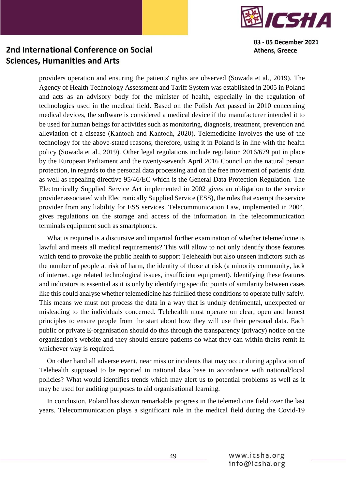

# 2nd International Conference on Social **Sciences. Humanities and Arts**

providers operation and ensuring the patients' rights are observed (Sowada et al., 2019). The Agency of Health Technology Assessment and Tariff System was established in 2005 in Poland and acts as an advisory body for the minister of health, especially in the regulation of technologies used in the medical field. Based on the Polish Act passed in 2010 concerning medical devices, the software is considered a medical device if the manufacturer intended it to be used for human beings for activities such as monitoring, diagnosis, treatment, prevention and alleviation of a disease (Kańtoch and Kańtoch, 2020). Telemedicine involves the use of the technology for the above-stated reasons; therefore, using it in Poland is in line with the health policy (Sowada et al., 2019). Other legal regulations include regulation 2016/679 put in place by the European Parliament and the twenty-seventh April 2016 Council on the natural person protection, in regards to the personal data processing and on the free movement of patients' data as well as repealing directive 95/46/EC which is the General Data Protection Regulation. The Electronically Supplied Service Act implemented in 2002 gives an obligation to the service provider associated with Electronically Supplied Service (ESS), the rules that exempt the service provider from any liability for ESS services. Telecommunication Law, implemented in 2004, gives regulations on the storage and access of the information in the telecommunication terminals equipment such as smartphones.

What is required is a discursive and impartial further examination of whether telemedicine is lawful and meets all medical requirements? This will allow to not only identify those features which tend to provoke the public health to support Telehealth but also unseen indictors such as the number of people at risk of harm, the identity of those at risk (a minority community, lack of internet, age related technological issues, insufficient equipment). Identifying these features and indicators is essential as it is only by identifying specific points of similarity between cases like this could analyse whether telemedicine has fulfilled these conditions to operate fully safely. This means we must not process the data in a way that is unduly detrimental, unexpected or misleading to the individuals concerned. Telehealth must operate on clear, open and honest principles to ensure people from the start about how they will use their personal data. Each public or private E-organisation should do this through the transparency (privacy) notice on the organisation's website and they should ensure patients do what they can within theirs remit in whichever way is required.

On other hand all adverse event, near miss or incidents that may occur during application of Telehealth supposed to be reported in national data base in accordance with national/local policies? What would identifies trends which may alert us to potential problems as well as it may be used for auditing purposes to aid organisational learning.

In conclusion, Poland has shown remarkable progress in the telemedicine field over the last years. Telecommunication plays a significant role in the medical field during the Covid-19